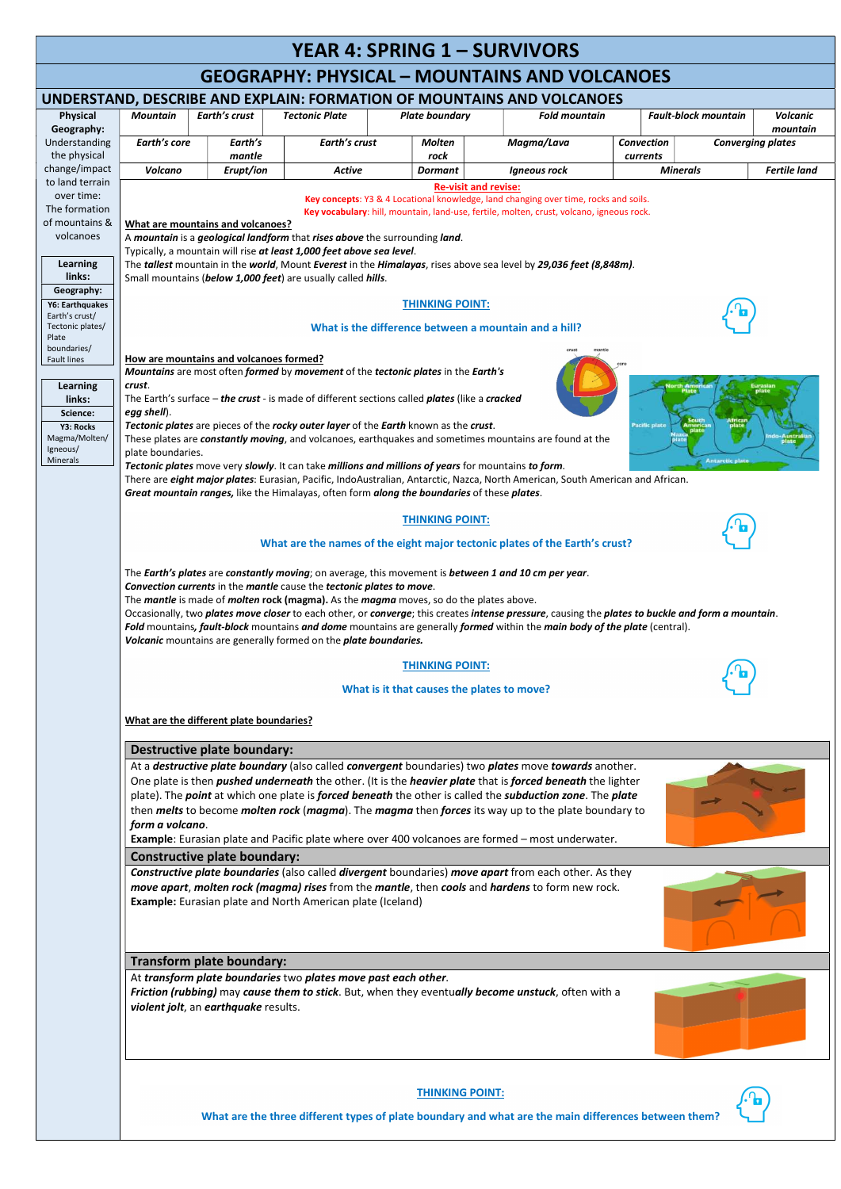## YEAR 4: SPRING 1 - SURVIVORS

## GEOGRAPHY: PHYSICAL – MOUNTAINS AND VOLCANOES

| UNDERSTAND, DESCRIBE AND EXPLAIN: FORMATION OF MOUNTAINS AND VOLCANOES |                                                                                                                                                                                                                                                                                                                                                                                                                                                                                                                                                                                                                                                                                            |                                                                  |                                                                |                                                                                             |                                                                                                                                        |                   |                             |                          |  |  |  |
|------------------------------------------------------------------------|--------------------------------------------------------------------------------------------------------------------------------------------------------------------------------------------------------------------------------------------------------------------------------------------------------------------------------------------------------------------------------------------------------------------------------------------------------------------------------------------------------------------------------------------------------------------------------------------------------------------------------------------------------------------------------------------|------------------------------------------------------------------|----------------------------------------------------------------|---------------------------------------------------------------------------------------------|----------------------------------------------------------------------------------------------------------------------------------------|-------------------|-----------------------------|--------------------------|--|--|--|
| <b>Physical</b>                                                        | <b>Mountain</b>                                                                                                                                                                                                                                                                                                                                                                                                                                                                                                                                                                                                                                                                            | <b>Earth's crust</b>                                             | <b>Tectonic Plate</b>                                          | <b>Plate boundary</b>                                                                       | <b>Fold mountain</b>                                                                                                                   |                   | <b>Fault-block mountain</b> | <b>Volcanic</b>          |  |  |  |
| Geography:                                                             |                                                                                                                                                                                                                                                                                                                                                                                                                                                                                                                                                                                                                                                                                            |                                                                  |                                                                |                                                                                             |                                                                                                                                        |                   |                             | mountain                 |  |  |  |
| Understanding                                                          | Earth's core                                                                                                                                                                                                                                                                                                                                                                                                                                                                                                                                                                                                                                                                               | Earth's                                                          | Earth's crust                                                  | <b>Molten</b>                                                                               | Magma/Lava                                                                                                                             | <b>Convection</b> |                             | <b>Converging plates</b> |  |  |  |
| the physical                                                           | mantle<br>rock<br>currents                                                                                                                                                                                                                                                                                                                                                                                                                                                                                                                                                                                                                                                                 |                                                                  |                                                                |                                                                                             |                                                                                                                                        |                   |                             |                          |  |  |  |
| change/impact                                                          | <b>Volcano</b><br>Erupt/ion<br><b>Fertile land</b><br><b>Active</b><br><b>Minerals</b><br><b>Dormant</b><br><b>Igneous rock</b>                                                                                                                                                                                                                                                                                                                                                                                                                                                                                                                                                            |                                                                  |                                                                |                                                                                             |                                                                                                                                        |                   |                             |                          |  |  |  |
| to land terrain                                                        | <b>Re-visit and revise:</b>                                                                                                                                                                                                                                                                                                                                                                                                                                                                                                                                                                                                                                                                |                                                                  |                                                                |                                                                                             |                                                                                                                                        |                   |                             |                          |  |  |  |
| over time:                                                             | Key concepts: Y3 & 4 Locational knowledge, land changing over time, rocks and soils.                                                                                                                                                                                                                                                                                                                                                                                                                                                                                                                                                                                                       |                                                                  |                                                                |                                                                                             |                                                                                                                                        |                   |                             |                          |  |  |  |
| The formation                                                          | Key vocabulary: hill, mountain, land-use, fertile, molten, crust, volcano, igneous rock.                                                                                                                                                                                                                                                                                                                                                                                                                                                                                                                                                                                                   |                                                                  |                                                                |                                                                                             |                                                                                                                                        |                   |                             |                          |  |  |  |
| of mountains &<br>volcanoes                                            | What are mountains and volcanoes?                                                                                                                                                                                                                                                                                                                                                                                                                                                                                                                                                                                                                                                          |                                                                  |                                                                |                                                                                             |                                                                                                                                        |                   |                             |                          |  |  |  |
|                                                                        | A mountain is a geological landform that rises above the surrounding land.                                                                                                                                                                                                                                                                                                                                                                                                                                                                                                                                                                                                                 |                                                                  |                                                                |                                                                                             |                                                                                                                                        |                   |                             |                          |  |  |  |
| <b>Learning</b>                                                        | Typically, a mountain will rise at least 1,000 feet above sea level.<br>The tallest mountain in the world, Mount Everest in the Himalayas, rises above sea level by 29,036 feet (8,848m).                                                                                                                                                                                                                                                                                                                                                                                                                                                                                                  |                                                                  |                                                                |                                                                                             |                                                                                                                                        |                   |                             |                          |  |  |  |
| links:                                                                 | Small mountains (below 1,000 feet) are usually called hills.                                                                                                                                                                                                                                                                                                                                                                                                                                                                                                                                                                                                                               |                                                                  |                                                                |                                                                                             |                                                                                                                                        |                   |                             |                          |  |  |  |
| Geography:                                                             |                                                                                                                                                                                                                                                                                                                                                                                                                                                                                                                                                                                                                                                                                            |                                                                  |                                                                |                                                                                             |                                                                                                                                        |                   |                             |                          |  |  |  |
| Y6: Earthquakes                                                        | <b>THINKING POINT:</b>                                                                                                                                                                                                                                                                                                                                                                                                                                                                                                                                                                                                                                                                     |                                                                  |                                                                |                                                                                             |                                                                                                                                        |                   |                             |                          |  |  |  |
| Earth's crust/<br>Tectonic plates/                                     |                                                                                                                                                                                                                                                                                                                                                                                                                                                                                                                                                                                                                                                                                            |                                                                  |                                                                |                                                                                             |                                                                                                                                        |                   |                             |                          |  |  |  |
| Plate                                                                  | What is the difference between a mountain and a hill?                                                                                                                                                                                                                                                                                                                                                                                                                                                                                                                                                                                                                                      |                                                                  |                                                                |                                                                                             |                                                                                                                                        |                   |                             |                          |  |  |  |
| boundaries/                                                            |                                                                                                                                                                                                                                                                                                                                                                                                                                                                                                                                                                                                                                                                                            |                                                                  |                                                                |                                                                                             |                                                                                                                                        |                   |                             |                          |  |  |  |
| <b>Fault lines</b>                                                     | How are mountains and volcanoes formed?<br>Mountains are most often formed by movement of the tectonic plates in the Earth's                                                                                                                                                                                                                                                                                                                                                                                                                                                                                                                                                               |                                                                  |                                                                |                                                                                             |                                                                                                                                        |                   |                             |                          |  |  |  |
| <b>Learning</b>                                                        | crust.                                                                                                                                                                                                                                                                                                                                                                                                                                                                                                                                                                                                                                                                                     |                                                                  |                                                                |                                                                                             |                                                                                                                                        |                   |                             |                          |  |  |  |
| links:                                                                 | The Earth's surface - the crust - is made of different sections called plates (like a cracked                                                                                                                                                                                                                                                                                                                                                                                                                                                                                                                                                                                              |                                                                  |                                                                |                                                                                             |                                                                                                                                        |                   |                             |                          |  |  |  |
| Science:                                                               | egg shell).                                                                                                                                                                                                                                                                                                                                                                                                                                                                                                                                                                                                                                                                                |                                                                  |                                                                |                                                                                             |                                                                                                                                        |                   |                             |                          |  |  |  |
| Y3: Rocks                                                              | Tectonic plates are pieces of the rocky outer layer of the Earth known as the crust.<br>Pacific plate                                                                                                                                                                                                                                                                                                                                                                                                                                                                                                                                                                                      |                                                                  |                                                                |                                                                                             |                                                                                                                                        |                   |                             |                          |  |  |  |
| Magma/Molten/<br>Igneous/                                              | ıdo-Australi<br>These plates are constantly moving, and volcanoes, earthquakes and sometimes mountains are found at the                                                                                                                                                                                                                                                                                                                                                                                                                                                                                                                                                                    |                                                                  |                                                                |                                                                                             |                                                                                                                                        |                   |                             |                          |  |  |  |
| Minerals                                                               | plate boundaries.<br><b>Antarctic plate</b><br>Tectonic plates move very slowly. It can take millions and millions of years for mountains to form.                                                                                                                                                                                                                                                                                                                                                                                                                                                                                                                                         |                                                                  |                                                                |                                                                                             |                                                                                                                                        |                   |                             |                          |  |  |  |
|                                                                        |                                                                                                                                                                                                                                                                                                                                                                                                                                                                                                                                                                                                                                                                                            |                                                                  |                                                                |                                                                                             | There are <i>eight major plates</i> : Eurasian, Pacific, IndoAustralian, Antarctic, Nazca, North American, South American and African. |                   |                             |                          |  |  |  |
|                                                                        |                                                                                                                                                                                                                                                                                                                                                                                                                                                                                                                                                                                                                                                                                            |                                                                  |                                                                | Great mountain ranges, like the Himalayas, often form along the boundaries of these plates. |                                                                                                                                        |                   |                             |                          |  |  |  |
|                                                                        |                                                                                                                                                                                                                                                                                                                                                                                                                                                                                                                                                                                                                                                                                            |                                                                  |                                                                |                                                                                             |                                                                                                                                        |                   |                             |                          |  |  |  |
|                                                                        |                                                                                                                                                                                                                                                                                                                                                                                                                                                                                                                                                                                                                                                                                            |                                                                  |                                                                | <b>THINKING POINT:</b>                                                                      |                                                                                                                                        |                   |                             |                          |  |  |  |
|                                                                        | What are the names of the eight major tectonic plates of the Earth's crust?                                                                                                                                                                                                                                                                                                                                                                                                                                                                                                                                                                                                                |                                                                  |                                                                |                                                                                             |                                                                                                                                        |                   |                             |                          |  |  |  |
|                                                                        | The Earth's plates are constantly moving; on average, this movement is between 1 and 10 cm per year.<br>Convection currents in the mantle cause the tectonic plates to move.<br>The mantle is made of molten rock (magma). As the magma moves, so do the plates above.<br>Occasionally, two plates move closer to each other, or converge; this creates intense pressure, causing the plates to buckle and form a mountain.<br>Fold mountains, fault-block mountains and dome mountains are generally formed within the main body of the plate (central).                                                                                                                                  |                                                                  |                                                                |                                                                                             |                                                                                                                                        |                   |                             |                          |  |  |  |
|                                                                        |                                                                                                                                                                                                                                                                                                                                                                                                                                                                                                                                                                                                                                                                                            | Volcanic mountains are generally formed on the plate boundaries. |                                                                |                                                                                             |                                                                                                                                        |                   |                             |                          |  |  |  |
|                                                                        |                                                                                                                                                                                                                                                                                                                                                                                                                                                                                                                                                                                                                                                                                            |                                                                  |                                                                | <b>THINKING POINT:</b>                                                                      |                                                                                                                                        |                   |                             |                          |  |  |  |
|                                                                        | What is it that causes the plates to move?                                                                                                                                                                                                                                                                                                                                                                                                                                                                                                                                                                                                                                                 |                                                                  |                                                                |                                                                                             |                                                                                                                                        |                   |                             |                          |  |  |  |
|                                                                        |                                                                                                                                                                                                                                                                                                                                                                                                                                                                                                                                                                                                                                                                                            |                                                                  |                                                                |                                                                                             |                                                                                                                                        |                   |                             |                          |  |  |  |
|                                                                        | What are the different plate boundaries?                                                                                                                                                                                                                                                                                                                                                                                                                                                                                                                                                                                                                                                   |                                                                  |                                                                |                                                                                             |                                                                                                                                        |                   |                             |                          |  |  |  |
|                                                                        |                                                                                                                                                                                                                                                                                                                                                                                                                                                                                                                                                                                                                                                                                            | <b>Destructive plate boundary:</b>                               |                                                                |                                                                                             |                                                                                                                                        |                   |                             |                          |  |  |  |
|                                                                        | At a <i>destructive plate boundary</i> (also called <i>convergent</i> boundaries) two <i>plates</i> move <i>towards</i> another.<br>One plate is then <i>pushed underneath</i> the other. (It is the <i>heavier plate</i> that is <i>forced beneath</i> the lighter<br>plate). The point at which one plate is forced beneath the other is called the subduction zone. The plate<br>then <i>melts</i> to become <i>molten rock</i> ( <i>magma</i> ). The <i>magma</i> then <i>forces</i> its way up to the plate boundary to<br>form a volcano.<br>Example: Eurasian plate and Pacific plate where over 400 volcanoes are formed - most underwater.<br><b>Constructive plate boundary:</b> |                                                                  |                                                                |                                                                                             |                                                                                                                                        |                   |                             |                          |  |  |  |
|                                                                        |                                                                                                                                                                                                                                                                                                                                                                                                                                                                                                                                                                                                                                                                                            |                                                                  |                                                                |                                                                                             |                                                                                                                                        |                   |                             |                          |  |  |  |
|                                                                        |                                                                                                                                                                                                                                                                                                                                                                                                                                                                                                                                                                                                                                                                                            |                                                                  |                                                                |                                                                                             |                                                                                                                                        |                   |                             |                          |  |  |  |
|                                                                        | <b>Constructive plate boundaries</b> (also called <b>divergent</b> boundaries) move apart from each other. As they<br>move apart, molten rock (magma) rises from the mantle, then cools and hardens to form new rock.                                                                                                                                                                                                                                                                                                                                                                                                                                                                      |                                                                  |                                                                |                                                                                             |                                                                                                                                        |                   |                             |                          |  |  |  |
|                                                                        | <b>Example:</b> Eurasian plate and North American plate (Iceland)                                                                                                                                                                                                                                                                                                                                                                                                                                                                                                                                                                                                                          |                                                                  |                                                                |                                                                                             |                                                                                                                                        |                   |                             |                          |  |  |  |
|                                                                        |                                                                                                                                                                                                                                                                                                                                                                                                                                                                                                                                                                                                                                                                                            |                                                                  |                                                                |                                                                                             |                                                                                                                                        |                   |                             |                          |  |  |  |
|                                                                        |                                                                                                                                                                                                                                                                                                                                                                                                                                                                                                                                                                                                                                                                                            |                                                                  |                                                                |                                                                                             |                                                                                                                                        |                   |                             |                          |  |  |  |
|                                                                        |                                                                                                                                                                                                                                                                                                                                                                                                                                                                                                                                                                                                                                                                                            |                                                                  |                                                                |                                                                                             |                                                                                                                                        |                   |                             |                          |  |  |  |
|                                                                        |                                                                                                                                                                                                                                                                                                                                                                                                                                                                                                                                                                                                                                                                                            | Transform plate boundary:                                        |                                                                |                                                                                             |                                                                                                                                        |                   |                             |                          |  |  |  |
|                                                                        |                                                                                                                                                                                                                                                                                                                                                                                                                                                                                                                                                                                                                                                                                            |                                                                  | At transform plate boundaries two plates move past each other. |                                                                                             |                                                                                                                                        |                   |                             |                          |  |  |  |
|                                                                        | Friction (rubbing) may cause them to stick. But, when they eventually become unstuck, often with a<br>violent jolt, an earthquake results.                                                                                                                                                                                                                                                                                                                                                                                                                                                                                                                                                 |                                                                  |                                                                |                                                                                             |                                                                                                                                        |                   |                             |                          |  |  |  |
|                                                                        |                                                                                                                                                                                                                                                                                                                                                                                                                                                                                                                                                                                                                                                                                            |                                                                  |                                                                | <b>THINKING POINT:</b>                                                                      |                                                                                                                                        |                   |                             |                          |  |  |  |
|                                                                        |                                                                                                                                                                                                                                                                                                                                                                                                                                                                                                                                                                                                                                                                                            |                                                                  |                                                                |                                                                                             | What are the three different types of plate boundary and what are the main differences between them?                                   |                   |                             |                          |  |  |  |